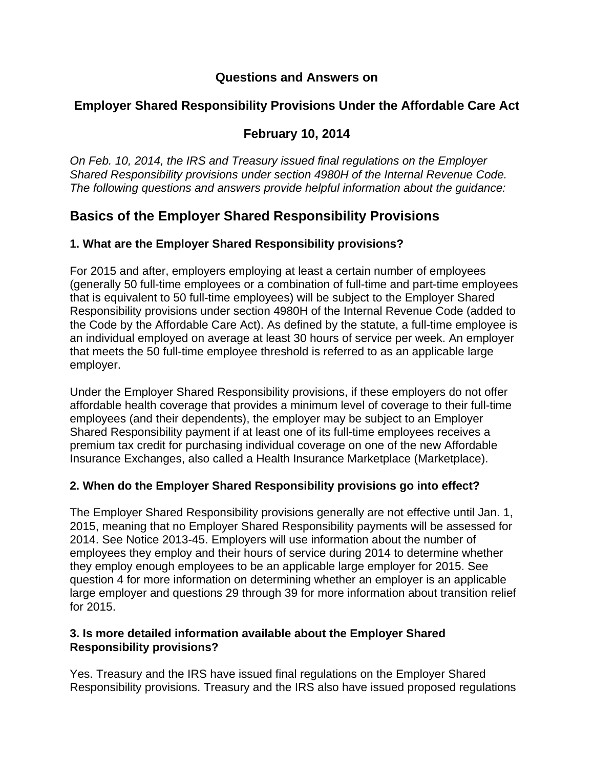# **Questions and Answers on**

# **Employer Shared Responsibility Provisions Under the Affordable Care Act**

# **February 10, 2014**

*On Feb. 10, 2014, the IRS and Treasury issued final regulations on the Employer Shared Responsibility provisions under section 4980H of the Internal Revenue Code. The following questions and answers provide helpful information about the guidance:* 

# **Basics of the Employer Shared Responsibility Provisions**

# **1. What are the Employer Shared Responsibility provisions?**

For 2015 and after, employers employing at least a certain number of employees (generally 50 full-time employees or a combination of full-time and part-time employees that is equivalent to 50 full-time employees) will be subject to the Employer Shared Responsibility provisions under section 4980H of the Internal Revenue Code (added to the Code by the Affordable Care Act). As defined by the statute, a full-time employee is an individual employed on average at least 30 hours of service per week. An employer that meets the 50 full-time employee threshold is referred to as an applicable large employer.

Under the Employer Shared Responsibility provisions, if these employers do not offer affordable health coverage that provides a minimum level of coverage to their full-time employees (and their dependents), the employer may be subject to an Employer Shared Responsibility payment if at least one of its full-time employees receives a premium tax credit for purchasing individual coverage on one of the new Affordable Insurance Exchanges, also called a Health Insurance Marketplace (Marketplace).

# **2. When do the Employer Shared Responsibility provisions go into effect?**

The Employer Shared Responsibility provisions generally are not effective until Jan. 1, 2015, meaning that no Employer Shared Responsibility payments will be assessed for 2014. See Notice 2013-45. Employers will use information about the number of employees they employ and their hours of service during 2014 to determine whether they employ enough employees to be an applicable large employer for 2015. See question 4 for more information on determining whether an employer is an applicable large employer and questions 29 through 39 for more information about transition relief for 2015.

### **3. Is more detailed information available about the Employer Shared Responsibility provisions?**

Yes. Treasury and the IRS have issued final regulations on the Employer Shared Responsibility provisions. Treasury and the IRS also have issued proposed regulations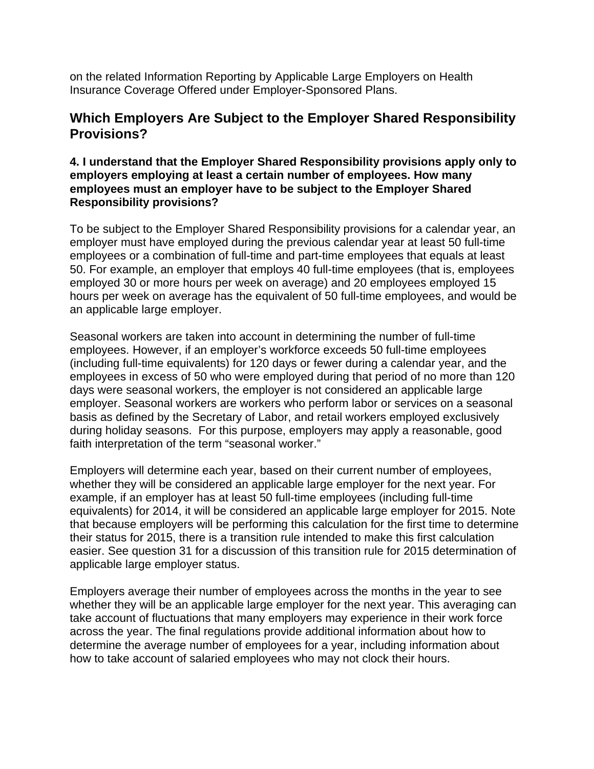on the related Information Reporting by Applicable Large Employers on Health Insurance Coverage Offered under Employer-Sponsored Plans.

# **Which Employers Are Subject to the Employer Shared Responsibility Provisions?**

### **4. I understand that the Employer Shared Responsibility provisions apply only to employers employing at least a certain number of employees. How many employees must an employer have to be subject to the Employer Shared Responsibility provisions?**

To be subject to the Employer Shared Responsibility provisions for a calendar year, an employer must have employed during the previous calendar year at least 50 full-time employees or a combination of full-time and part-time employees that equals at least 50. For example, an employer that employs 40 full-time employees (that is, employees employed 30 or more hours per week on average) and 20 employees employed 15 hours per week on average has the equivalent of 50 full-time employees, and would be an applicable large employer.

Seasonal workers are taken into account in determining the number of full-time employees. However, if an employer's workforce exceeds 50 full-time employees (including full-time equivalents) for 120 days or fewer during a calendar year, and the employees in excess of 50 who were employed during that period of no more than 120 days were seasonal workers, the employer is not considered an applicable large employer. Seasonal workers are workers who perform labor or services on a seasonal basis as defined by the Secretary of Labor, and retail workers employed exclusively during holiday seasons. For this purpose, employers may apply a reasonable, good faith interpretation of the term "seasonal worker."

Employers will determine each year, based on their current number of employees, whether they will be considered an applicable large employer for the next year. For example, if an employer has at least 50 full-time employees (including full-time equivalents) for 2014, it will be considered an applicable large employer for 2015. Note that because employers will be performing this calculation for the first time to determine their status for 2015, there is a transition rule intended to make this first calculation easier. See question 31 for a discussion of this transition rule for 2015 determination of applicable large employer status.

Employers average their number of employees across the months in the year to see whether they will be an applicable large employer for the next year. This averaging can take account of fluctuations that many employers may experience in their work force across the year. The final regulations provide additional information about how to determine the average number of employees for a year, including information about how to take account of salaried employees who may not clock their hours.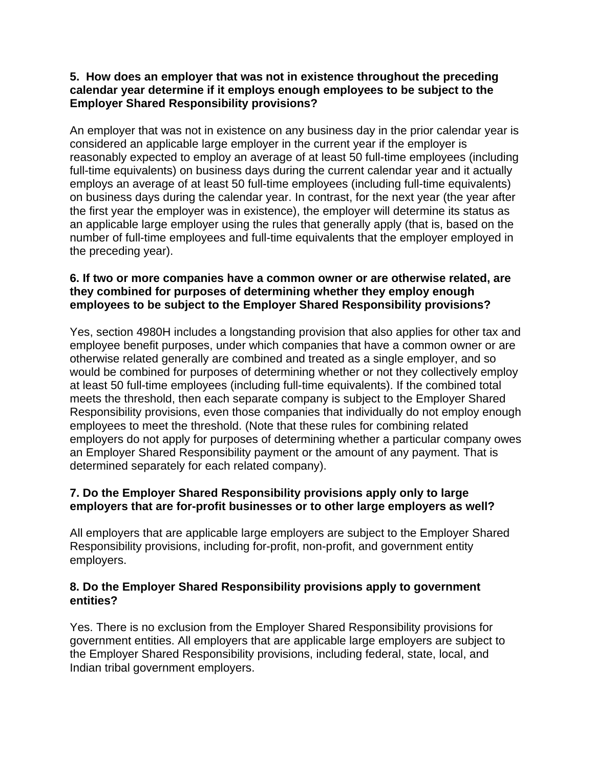### **5. How does an employer that was not in existence throughout the preceding calendar year determine if it employs enough employees to be subject to the Employer Shared Responsibility provisions?**

An employer that was not in existence on any business day in the prior calendar year is considered an applicable large employer in the current year if the employer is reasonably expected to employ an average of at least 50 full-time employees (including full-time equivalents) on business days during the current calendar year and it actually employs an average of at least 50 full-time employees (including full-time equivalents) on business days during the calendar year. In contrast, for the next year (the year after the first year the employer was in existence), the employer will determine its status as an applicable large employer using the rules that generally apply (that is, based on the number of full-time employees and full-time equivalents that the employer employed in the preceding year).

# **6. If two or more companies have a common owner or are otherwise related, are they combined for purposes of determining whether they employ enough employees to be subject to the Employer Shared Responsibility provisions?**

Yes, section 4980H includes a longstanding provision that also applies for other tax and employee benefit purposes, under which companies that have a common owner or are otherwise related generally are combined and treated as a single employer, and so would be combined for purposes of determining whether or not they collectively employ at least 50 full-time employees (including full-time equivalents). If the combined total meets the threshold, then each separate company is subject to the Employer Shared Responsibility provisions, even those companies that individually do not employ enough employees to meet the threshold. (Note that these rules for combining related employers do not apply for purposes of determining whether a particular company owes an Employer Shared Responsibility payment or the amount of any payment. That is determined separately for each related company).

# **7. Do the Employer Shared Responsibility provisions apply only to large employers that are for-profit businesses or to other large employers as well?**

All employers that are applicable large employers are subject to the Employer Shared Responsibility provisions, including for-profit, non-profit, and government entity employers.

### **8. Do the Employer Shared Responsibility provisions apply to government entities?**

Yes. There is no exclusion from the Employer Shared Responsibility provisions for government entities. All employers that are applicable large employers are subject to the Employer Shared Responsibility provisions, including federal, state, local, and Indian tribal government employers.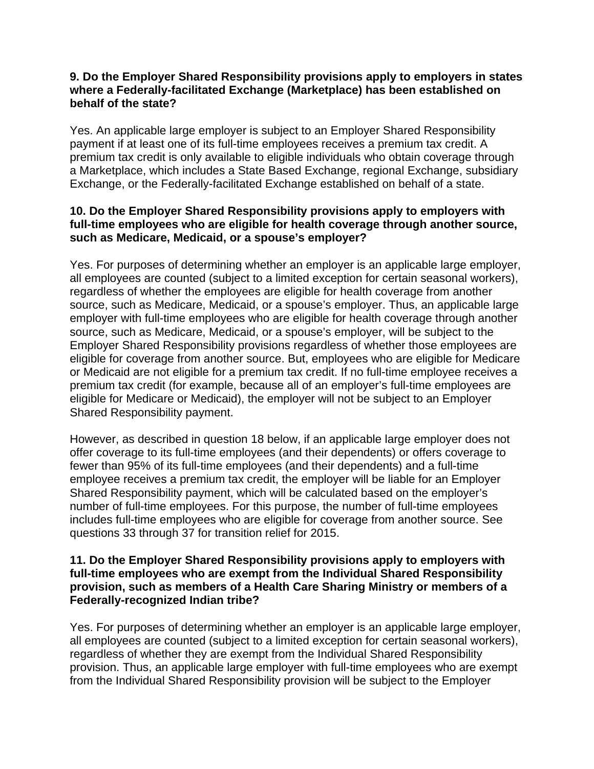### **9. Do the Employer Shared Responsibility provisions apply to employers in states where a Federally-facilitated Exchange (Marketplace) has been established on behalf of the state?**

Yes. An applicable large employer is subject to an Employer Shared Responsibility payment if at least one of its full-time employees receives a premium tax credit. A premium tax credit is only available to eligible individuals who obtain coverage through a Marketplace, which includes a State Based Exchange, regional Exchange, subsidiary Exchange, or the Federally-facilitated Exchange established on behalf of a state.

### **10. Do the Employer Shared Responsibility provisions apply to employers with full-time employees who are eligible for health coverage through another source, such as Medicare, Medicaid, or a spouse's employer?**

Yes. For purposes of determining whether an employer is an applicable large employer, all employees are counted (subject to a limited exception for certain seasonal workers), regardless of whether the employees are eligible for health coverage from another source, such as Medicare, Medicaid, or a spouse's employer. Thus, an applicable large employer with full-time employees who are eligible for health coverage through another source, such as Medicare, Medicaid, or a spouse's employer, will be subject to the Employer Shared Responsibility provisions regardless of whether those employees are eligible for coverage from another source. But, employees who are eligible for Medicare or Medicaid are not eligible for a premium tax credit. If no full-time employee receives a premium tax credit (for example, because all of an employer's full-time employees are eligible for Medicare or Medicaid), the employer will not be subject to an Employer Shared Responsibility payment.

However, as described in question 18 below, if an applicable large employer does not offer coverage to its full-time employees (and their dependents) or offers coverage to fewer than 95% of its full-time employees (and their dependents) and a full-time employee receives a premium tax credit, the employer will be liable for an Employer Shared Responsibility payment, which will be calculated based on the employer's number of full-time employees. For this purpose, the number of full-time employees includes full-time employees who are eligible for coverage from another source. See questions 33 through 37 for transition relief for 2015.

#### **11. Do the Employer Shared Responsibility provisions apply to employers with full-time employees who are exempt from the Individual Shared Responsibility provision, such as members of a Health Care Sharing Ministry or members of a Federally-recognized Indian tribe?**

Yes. For purposes of determining whether an employer is an applicable large employer, all employees are counted (subject to a limited exception for certain seasonal workers), regardless of whether they are exempt from the Individual Shared Responsibility provision. Thus, an applicable large employer with full-time employees who are exempt from the Individual Shared Responsibility provision will be subject to the Employer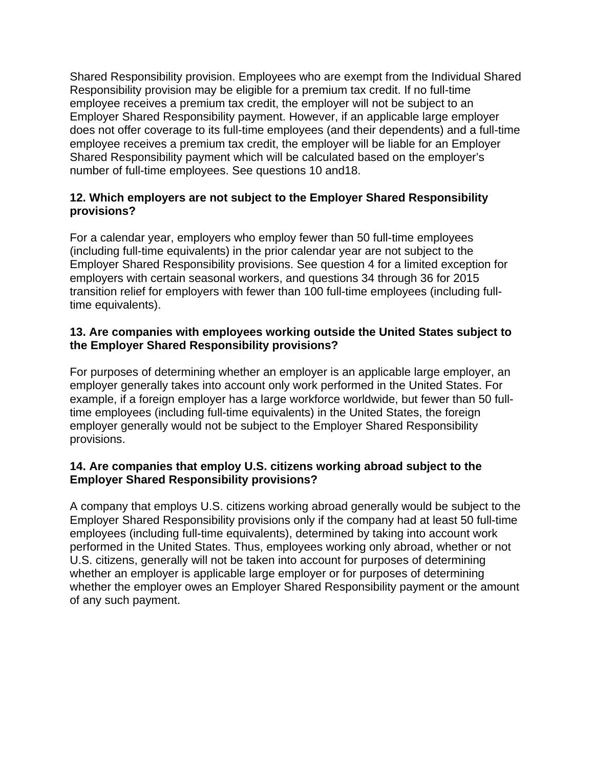Shared Responsibility provision. Employees who are exempt from the Individual Shared Responsibility provision may be eligible for a premium tax credit. If no full-time employee receives a premium tax credit, the employer will not be subject to an Employer Shared Responsibility payment. However, if an applicable large employer does not offer coverage to its full-time employees (and their dependents) and a full-time employee receives a premium tax credit, the employer will be liable for an Employer Shared Responsibility payment which will be calculated based on the employer's number of full-time employees. See questions 10 and18.

# **12. Which employers are not subject to the Employer Shared Responsibility provisions?**

For a calendar year, employers who employ fewer than 50 full-time employees (including full-time equivalents) in the prior calendar year are not subject to the Employer Shared Responsibility provisions. See question 4 for a limited exception for employers with certain seasonal workers, and questions 34 through 36 for 2015 transition relief for employers with fewer than 100 full-time employees (including fulltime equivalents).

# **13. Are companies with employees working outside the United States subject to the Employer Shared Responsibility provisions?**

For purposes of determining whether an employer is an applicable large employer, an employer generally takes into account only work performed in the United States. For example, if a foreign employer has a large workforce worldwide, but fewer than 50 fulltime employees (including full-time equivalents) in the United States, the foreign employer generally would not be subject to the Employer Shared Responsibility provisions.

### **14. Are companies that employ U.S. citizens working abroad subject to the Employer Shared Responsibility provisions?**

A company that employs U.S. citizens working abroad generally would be subject to the Employer Shared Responsibility provisions only if the company had at least 50 full-time employees (including full-time equivalents), determined by taking into account work performed in the United States. Thus, employees working only abroad, whether or not U.S. citizens, generally will not be taken into account for purposes of determining whether an employer is applicable large employer or for purposes of determining whether the employer owes an Employer Shared Responsibility payment or the amount of any such payment.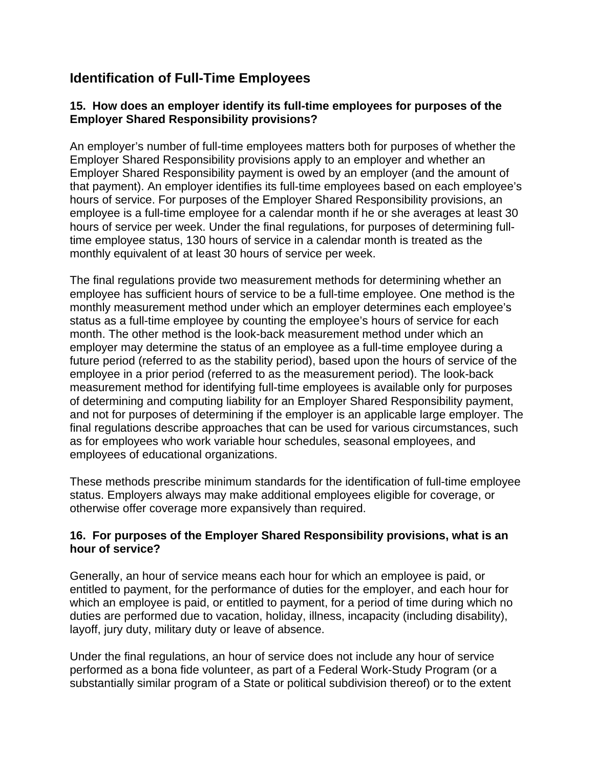# **Identification of Full-Time Employees**

# **15. How does an employer identify its full-time employees for purposes of the Employer Shared Responsibility provisions?**

An employer's number of full-time employees matters both for purposes of whether the Employer Shared Responsibility provisions apply to an employer and whether an Employer Shared Responsibility payment is owed by an employer (and the amount of that payment). An employer identifies its full-time employees based on each employee's hours of service. For purposes of the Employer Shared Responsibility provisions, an employee is a full-time employee for a calendar month if he or she averages at least 30 hours of service per week. Under the final regulations, for purposes of determining fulltime employee status, 130 hours of service in a calendar month is treated as the monthly equivalent of at least 30 hours of service per week.

The final regulations provide two measurement methods for determining whether an employee has sufficient hours of service to be a full-time employee. One method is the monthly measurement method under which an employer determines each employee's status as a full-time employee by counting the employee's hours of service for each month. The other method is the look-back measurement method under which an employer may determine the status of an employee as a full-time employee during a future period (referred to as the stability period), based upon the hours of service of the employee in a prior period (referred to as the measurement period). The look-back measurement method for identifying full-time employees is available only for purposes of determining and computing liability for an Employer Shared Responsibility payment, and not for purposes of determining if the employer is an applicable large employer. The final regulations describe approaches that can be used for various circumstances, such as for employees who work variable hour schedules, seasonal employees, and employees of educational organizations.

These methods prescribe minimum standards for the identification of full-time employee status. Employers always may make additional employees eligible for coverage, or otherwise offer coverage more expansively than required.

# **16. For purposes of the Employer Shared Responsibility provisions, what is an hour of service?**

Generally, an hour of service means each hour for which an employee is paid, or entitled to payment, for the performance of duties for the employer, and each hour for which an employee is paid, or entitled to payment, for a period of time during which no duties are performed due to vacation, holiday, illness, incapacity (including disability), layoff, jury duty, military duty or leave of absence.

Under the final regulations, an hour of service does not include any hour of service performed as a bona fide volunteer, as part of a Federal Work-Study Program (or a substantially similar program of a State or political subdivision thereof) or to the extent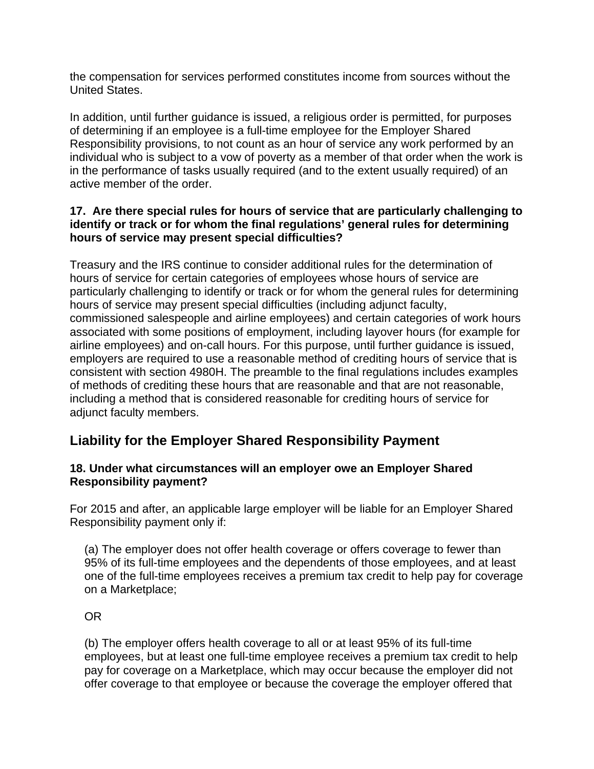the compensation for services performed constitutes income from sources without the United States.

In addition, until further guidance is issued, a religious order is permitted, for purposes of determining if an employee is a full-time employee for the Employer Shared Responsibility provisions, to not count as an hour of service any work performed by an individual who is subject to a vow of poverty as a member of that order when the work is in the performance of tasks usually required (and to the extent usually required) of an active member of the order.

# **17. Are there special rules for hours of service that are particularly challenging to identify or track or for whom the final regulations' general rules for determining hours of service may present special difficulties?**

Treasury and the IRS continue to consider additional rules for the determination of hours of service for certain categories of employees whose hours of service are particularly challenging to identify or track or for whom the general rules for determining hours of service may present special difficulties (including adjunct faculty, commissioned salespeople and airline employees) and certain categories of work hours associated with some positions of employment, including layover hours (for example for airline employees) and on-call hours. For this purpose, until further guidance is issued, employers are required to use a reasonable method of crediting hours of service that is consistent with section 4980H. The preamble to the final regulations includes examples of methods of crediting these hours that are reasonable and that are not reasonable, including a method that is considered reasonable for crediting hours of service for adjunct faculty members.

# **Liability for the Employer Shared Responsibility Payment**

### **18. Under what circumstances will an employer owe an Employer Shared Responsibility payment?**

For 2015 and after, an applicable large employer will be liable for an Employer Shared Responsibility payment only if:

(a) The employer does not offer health coverage or offers coverage to fewer than 95% of its full-time employees and the dependents of those employees, and at least one of the full-time employees receives a premium tax credit to help pay for coverage on a Marketplace;

OR

(b) The employer offers health coverage to all or at least 95% of its full-time employees, but at least one full-time employee receives a premium tax credit to help pay for coverage on a Marketplace, which may occur because the employer did not offer coverage to that employee or because the coverage the employer offered that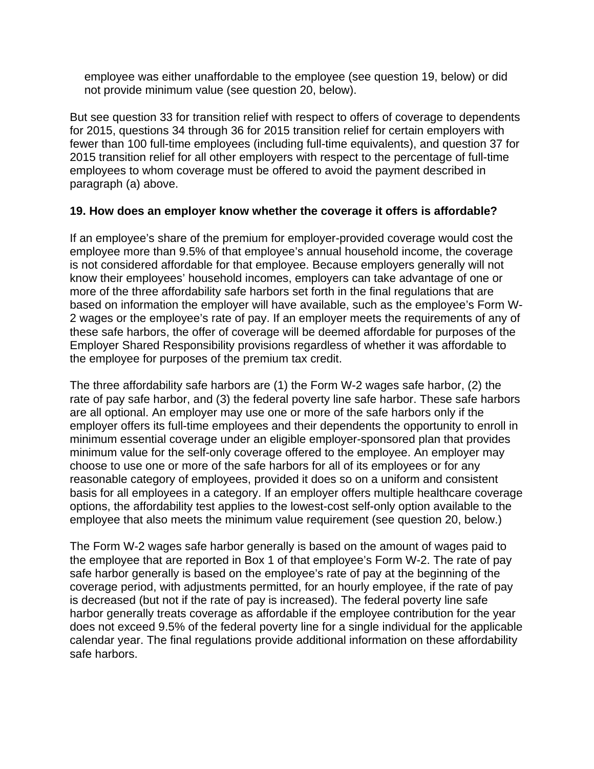employee was either unaffordable to the employee (see question 19, below) or did not provide minimum value (see question 20, below).

But see question 33 for transition relief with respect to offers of coverage to dependents for 2015, questions 34 through 36 for 2015 transition relief for certain employers with fewer than 100 full-time employees (including full-time equivalents), and question 37 for 2015 transition relief for all other employers with respect to the percentage of full-time employees to whom coverage must be offered to avoid the payment described in paragraph (a) above.

### **19. How does an employer know whether the coverage it offers is affordable?**

If an employee's share of the premium for employer-provided coverage would cost the employee more than 9.5% of that employee's annual household income, the coverage is not considered affordable for that employee. Because employers generally will not know their employees' household incomes, employers can take advantage of one or more of the three affordability safe harbors set forth in the final regulations that are based on information the employer will have available, such as the employee's Form W-2 wages or the employee's rate of pay. If an employer meets the requirements of any of these safe harbors, the offer of coverage will be deemed affordable for purposes of the Employer Shared Responsibility provisions regardless of whether it was affordable to the employee for purposes of the premium tax credit.

The three affordability safe harbors are (1) the Form W-2 wages safe harbor, (2) the rate of pay safe harbor, and (3) the federal poverty line safe harbor. These safe harbors are all optional. An employer may use one or more of the safe harbors only if the employer offers its full-time employees and their dependents the opportunity to enroll in minimum essential coverage under an eligible employer-sponsored plan that provides minimum value for the self-only coverage offered to the employee. An employer may choose to use one or more of the safe harbors for all of its employees or for any reasonable category of employees, provided it does so on a uniform and consistent basis for all employees in a category. If an employer offers multiple healthcare coverage options, the affordability test applies to the lowest-cost self-only option available to the employee that also meets the minimum value requirement (see question 20, below.)

The Form W-2 wages safe harbor generally is based on the amount of wages paid to the employee that are reported in Box 1 of that employee's Form W-2. The rate of pay safe harbor generally is based on the employee's rate of pay at the beginning of the coverage period, with adjustments permitted, for an hourly employee, if the rate of pay is decreased (but not if the rate of pay is increased). The federal poverty line safe harbor generally treats coverage as affordable if the employee contribution for the year does not exceed 9.5% of the federal poverty line for a single individual for the applicable calendar year. The final regulations provide additional information on these affordability safe harbors.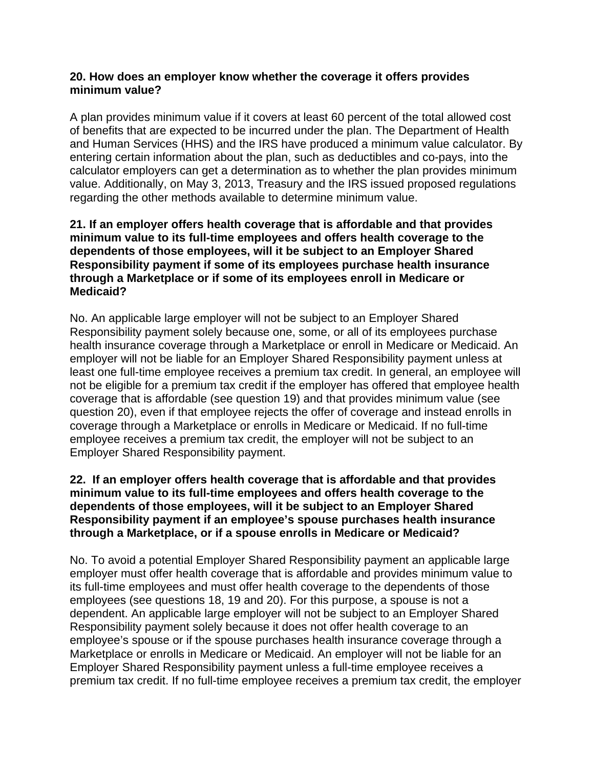### **20. How does an employer know whether the coverage it offers provides minimum value?**

A plan provides minimum value if it covers at least 60 percent of the total allowed cost of benefits that are expected to be incurred under the plan. The Department of Health and Human Services (HHS) and the IRS have produced a minimum value calculator. By entering certain information about the plan, such as deductibles and co-pays, into the calculator employers can get a determination as to whether the plan provides minimum value. Additionally, on May 3, 2013, Treasury and the IRS issued proposed regulations regarding the other methods available to determine minimum value.

### **21. If an employer offers health coverage that is affordable and that provides minimum value to its full-time employees and offers health coverage to the dependents of those employees, will it be subject to an Employer Shared Responsibility payment if some of its employees purchase health insurance through a Marketplace or if some of its employees enroll in Medicare or Medicaid?**

No. An applicable large employer will not be subject to an Employer Shared Responsibility payment solely because one, some, or all of its employees purchase health insurance coverage through a Marketplace or enroll in Medicare or Medicaid. An employer will not be liable for an Employer Shared Responsibility payment unless at least one full-time employee receives a premium tax credit. In general, an employee will not be eligible for a premium tax credit if the employer has offered that employee health coverage that is affordable (see question 19) and that provides minimum value (see question 20), even if that employee rejects the offer of coverage and instead enrolls in coverage through a Marketplace or enrolls in Medicare or Medicaid. If no full-time employee receives a premium tax credit, the employer will not be subject to an Employer Shared Responsibility payment.

# **22. If an employer offers health coverage that is affordable and that provides minimum value to its full-time employees and offers health coverage to the dependents of those employees, will it be subject to an Employer Shared Responsibility payment if an employee's spouse purchases health insurance through a Marketplace, or if a spouse enrolls in Medicare or Medicaid?**

No. To avoid a potential Employer Shared Responsibility payment an applicable large employer must offer health coverage that is affordable and provides minimum value to its full-time employees and must offer health coverage to the dependents of those employees (see questions 18, 19 and 20). For this purpose, a spouse is not a dependent. An applicable large employer will not be subject to an Employer Shared Responsibility payment solely because it does not offer health coverage to an employee's spouse or if the spouse purchases health insurance coverage through a Marketplace or enrolls in Medicare or Medicaid. An employer will not be liable for an Employer Shared Responsibility payment unless a full-time employee receives a premium tax credit. If no full-time employee receives a premium tax credit, the employer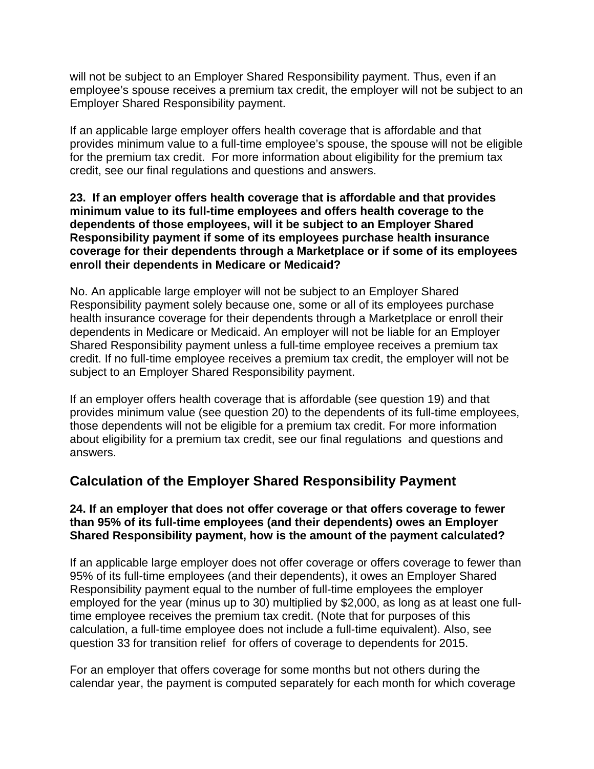will not be subject to an Employer Shared Responsibility payment. Thus, even if an employee's spouse receives a premium tax credit, the employer will not be subject to an Employer Shared Responsibility payment.

If an applicable large employer offers health coverage that is affordable and that provides minimum value to a full-time employee's spouse, the spouse will not be eligible for the premium tax credit. For more information about eligibility for the premium tax credit, see our final regulations and questions and answers.

### **23. If an employer offers health coverage that is affordable and that provides minimum value to its full-time employees and offers health coverage to the dependents of those employees, will it be subject to an Employer Shared Responsibility payment if some of its employees purchase health insurance coverage for their dependents through a Marketplace or if some of its employees enroll their dependents in Medicare or Medicaid?**

No. An applicable large employer will not be subject to an Employer Shared Responsibility payment solely because one, some or all of its employees purchase health insurance coverage for their dependents through a Marketplace or enroll their dependents in Medicare or Medicaid. An employer will not be liable for an Employer Shared Responsibility payment unless a full-time employee receives a premium tax credit. If no full-time employee receives a premium tax credit, the employer will not be subject to an Employer Shared Responsibility payment.

If an employer offers health coverage that is affordable (see question 19) and that provides minimum value (see question 20) to the dependents of its full-time employees, those dependents will not be eligible for a premium tax credit. For more information about eligibility for a premium tax credit, see our final regulations and questions and answers.

# **Calculation of the Employer Shared Responsibility Payment**

# **24. If an employer that does not offer coverage or that offers coverage to fewer than 95% of its full-time employees (and their dependents) owes an Employer Shared Responsibility payment, how is the amount of the payment calculated?**

If an applicable large employer does not offer coverage or offers coverage to fewer than 95% of its full-time employees (and their dependents), it owes an Employer Shared Responsibility payment equal to the number of full-time employees the employer employed for the year (minus up to 30) multiplied by \$2,000, as long as at least one fulltime employee receives the premium tax credit. (Note that for purposes of this calculation, a full-time employee does not include a full-time equivalent). Also, see question 33 for transition relief for offers of coverage to dependents for 2015.

For an employer that offers coverage for some months but not others during the calendar year, the payment is computed separately for each month for which coverage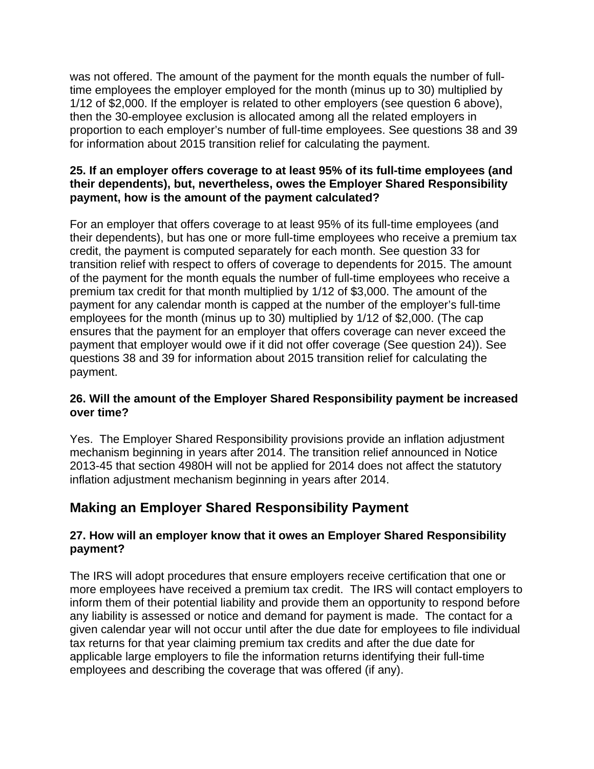was not offered. The amount of the payment for the month equals the number of fulltime employees the employer employed for the month (minus up to 30) multiplied by 1/12 of \$2,000. If the employer is related to other employers (see question 6 above), then the 30-employee exclusion is allocated among all the related employers in proportion to each employer's number of full-time employees. See questions 38 and 39 for information about 2015 transition relief for calculating the payment.

# **25. If an employer offers coverage to at least 95% of its full-time employees (and their dependents), but, nevertheless, owes the Employer Shared Responsibility payment, how is the amount of the payment calculated?**

For an employer that offers coverage to at least 95% of its full-time employees (and their dependents), but has one or more full-time employees who receive a premium tax credit, the payment is computed separately for each month. See question 33 for transition relief with respect to offers of coverage to dependents for 2015. The amount of the payment for the month equals the number of full-time employees who receive a premium tax credit for that month multiplied by 1/12 of \$3,000. The amount of the payment for any calendar month is capped at the number of the employer's full-time employees for the month (minus up to 30) multiplied by 1/12 of \$2,000. (The cap ensures that the payment for an employer that offers coverage can never exceed the payment that employer would owe if it did not offer coverage (See question 24)). See questions 38 and 39 for information about 2015 transition relief for calculating the payment.

# **26. Will the amount of the Employer Shared Responsibility payment be increased over time?**

Yes. The Employer Shared Responsibility provisions provide an inflation adjustment mechanism beginning in years after 2014. The transition relief announced in Notice 2013-45 that section 4980H will not be applied for 2014 does not affect the statutory inflation adjustment mechanism beginning in years after 2014.

# **Making an Employer Shared Responsibility Payment**

# **27. How will an employer know that it owes an Employer Shared Responsibility payment?**

The IRS will adopt procedures that ensure employers receive certification that one or more employees have received a premium tax credit. The IRS will contact employers to inform them of their potential liability and provide them an opportunity to respond before any liability is assessed or notice and demand for payment is made. The contact for a given calendar year will not occur until after the due date for employees to file individual tax returns for that year claiming premium tax credits and after the due date for applicable large employers to file the information returns identifying their full-time employees and describing the coverage that was offered (if any).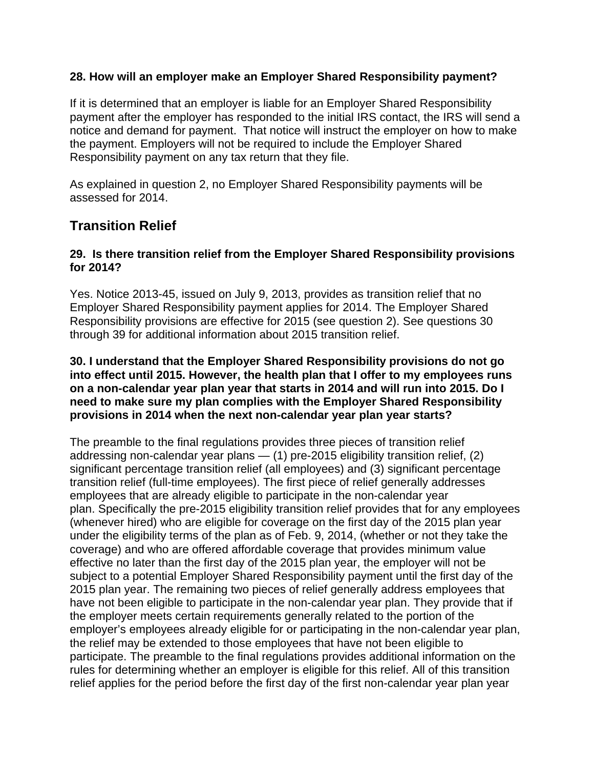## **28. How will an employer make an Employer Shared Responsibility payment?**

If it is determined that an employer is liable for an Employer Shared Responsibility payment after the employer has responded to the initial IRS contact, the IRS will send a notice and demand for payment. That notice will instruct the employer on how to make the payment. Employers will not be required to include the Employer Shared Responsibility payment on any tax return that they file.

As explained in question 2, no Employer Shared Responsibility payments will be assessed for 2014.

# **Transition Relief**

### **29. Is there transition relief from the Employer Shared Responsibility provisions for 2014?**

Yes. Notice 2013-45, issued on July 9, 2013, provides as transition relief that no Employer Shared Responsibility payment applies for 2014. The Employer Shared Responsibility provisions are effective for 2015 (see question 2). See questions 30 through 39 for additional information about 2015 transition relief.

#### **30. I understand that the Employer Shared Responsibility provisions do not go into effect until 2015. However, the health plan that I offer to my employees runs on a non-calendar year plan year that starts in 2014 and will run into 2015. Do I need to make sure my plan complies with the Employer Shared Responsibility provisions in 2014 when the next non-calendar year plan year starts?**

The preamble to the final regulations provides three pieces of transition relief addressing non-calendar year plans — (1) pre-2015 eligibility transition relief, (2) significant percentage transition relief (all employees) and (3) significant percentage transition relief (full-time employees). The first piece of relief generally addresses employees that are already eligible to participate in the non-calendar year plan. Specifically the pre-2015 eligibility transition relief provides that for any employees (whenever hired) who are eligible for coverage on the first day of the 2015 plan year under the eligibility terms of the plan as of Feb. 9, 2014, (whether or not they take the coverage) and who are offered affordable coverage that provides minimum value effective no later than the first day of the 2015 plan year, the employer will not be subject to a potential Employer Shared Responsibility payment until the first day of the 2015 plan year. The remaining two pieces of relief generally address employees that have not been eligible to participate in the non-calendar year plan. They provide that if the employer meets certain requirements generally related to the portion of the employer's employees already eligible for or participating in the non-calendar year plan, the relief may be extended to those employees that have not been eligible to participate. The preamble to the final regulations provides additional information on the rules for determining whether an employer is eligible for this relief. All of this transition relief applies for the period before the first day of the first non-calendar year plan year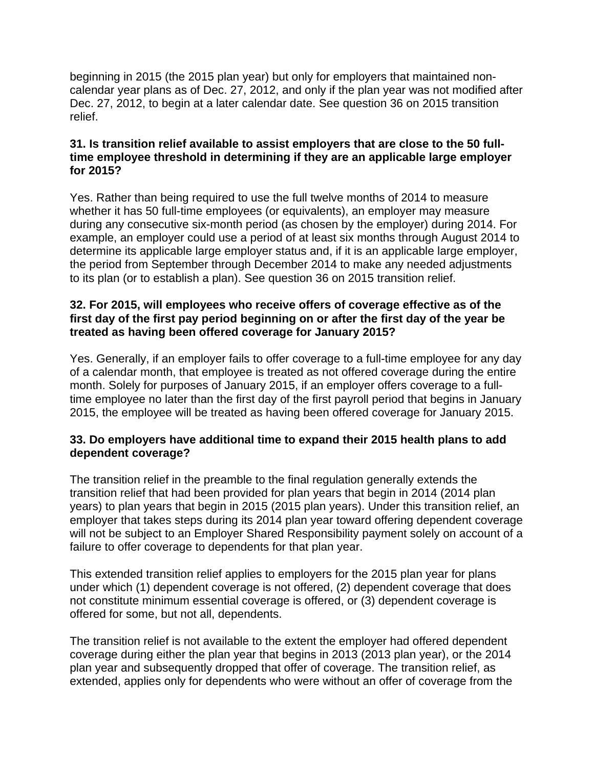beginning in 2015 (the 2015 plan year) but only for employers that maintained noncalendar year plans as of Dec. 27, 2012, and only if the plan year was not modified after Dec. 27, 2012, to begin at a later calendar date. See question 36 on 2015 transition relief.

# **31. Is transition relief available to assist employers that are close to the 50 fulltime employee threshold in determining if they are an applicable large employer for 2015?**

Yes. Rather than being required to use the full twelve months of 2014 to measure whether it has 50 full-time employees (or equivalents), an employer may measure during any consecutive six-month period (as chosen by the employer) during 2014. For example, an employer could use a period of at least six months through August 2014 to determine its applicable large employer status and, if it is an applicable large employer, the period from September through December 2014 to make any needed adjustments to its plan (or to establish a plan). See question 36 on 2015 transition relief.

# **32. For 2015, will employees who receive offers of coverage effective as of the first day of the first pay period beginning on or after the first day of the year be treated as having been offered coverage for January 2015?**

Yes. Generally, if an employer fails to offer coverage to a full-time employee for any day of a calendar month, that employee is treated as not offered coverage during the entire month. Solely for purposes of January 2015, if an employer offers coverage to a fulltime employee no later than the first day of the first payroll period that begins in January 2015, the employee will be treated as having been offered coverage for January 2015.

# **33. Do employers have additional time to expand their 2015 health plans to add dependent coverage?**

The transition relief in the preamble to the final regulation generally extends the transition relief that had been provided for plan years that begin in 2014 (2014 plan years) to plan years that begin in 2015 (2015 plan years). Under this transition relief, an employer that takes steps during its 2014 plan year toward offering dependent coverage will not be subject to an Employer Shared Responsibility payment solely on account of a failure to offer coverage to dependents for that plan year.

This extended transition relief applies to employers for the 2015 plan year for plans under which (1) dependent coverage is not offered, (2) dependent coverage that does not constitute minimum essential coverage is offered, or (3) dependent coverage is offered for some, but not all, dependents.

The transition relief is not available to the extent the employer had offered dependent coverage during either the plan year that begins in 2013 (2013 plan year), or the 2014 plan year and subsequently dropped that offer of coverage. The transition relief, as extended, applies only for dependents who were without an offer of coverage from the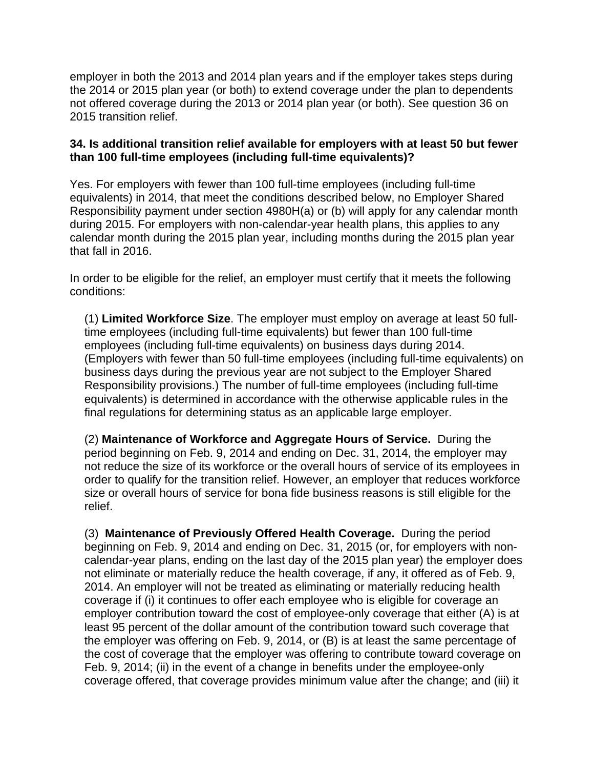employer in both the 2013 and 2014 plan years and if the employer takes steps during the 2014 or 2015 plan year (or both) to extend coverage under the plan to dependents not offered coverage during the 2013 or 2014 plan year (or both). See question 36 on 2015 transition relief.

### **34. Is additional transition relief available for employers with at least 50 but fewer than 100 full-time employees (including full-time equivalents)?**

Yes. For employers with fewer than 100 full-time employees (including full-time equivalents) in 2014, that meet the conditions described below, no Employer Shared Responsibility payment under section 4980H(a) or (b) will apply for any calendar month during 2015. For employers with non-calendar-year health plans, this applies to any calendar month during the 2015 plan year, including months during the 2015 plan year that fall in 2016.

In order to be eligible for the relief, an employer must certify that it meets the following conditions:

(1) **Limited Workforce Size**. The employer must employ on average at least 50 fulltime employees (including full-time equivalents) but fewer than 100 full-time employees (including full-time equivalents) on business days during 2014. (Employers with fewer than 50 full-time employees (including full-time equivalents) on business days during the previous year are not subject to the Employer Shared Responsibility provisions.) The number of full-time employees (including full-time equivalents) is determined in accordance with the otherwise applicable rules in the final regulations for determining status as an applicable large employer.

(2) **Maintenance of Workforce and Aggregate Hours of Service.** During the period beginning on Feb. 9, 2014 and ending on Dec. 31, 2014, the employer may not reduce the size of its workforce or the overall hours of service of its employees in order to qualify for the transition relief. However, an employer that reduces workforce size or overall hours of service for bona fide business reasons is still eligible for the relief.

(3) **Maintenance of Previously Offered Health Coverage.** During the period beginning on Feb. 9, 2014 and ending on Dec. 31, 2015 (or, for employers with noncalendar-year plans, ending on the last day of the 2015 plan year) the employer does not eliminate or materially reduce the health coverage, if any, it offered as of Feb. 9, 2014. An employer will not be treated as eliminating or materially reducing health coverage if (i) it continues to offer each employee who is eligible for coverage an employer contribution toward the cost of employee-only coverage that either (A) is at least 95 percent of the dollar amount of the contribution toward such coverage that the employer was offering on Feb. 9, 2014, or (B) is at least the same percentage of the cost of coverage that the employer was offering to contribute toward coverage on Feb. 9, 2014; (ii) in the event of a change in benefits under the employee-only coverage offered, that coverage provides minimum value after the change; and (iii) it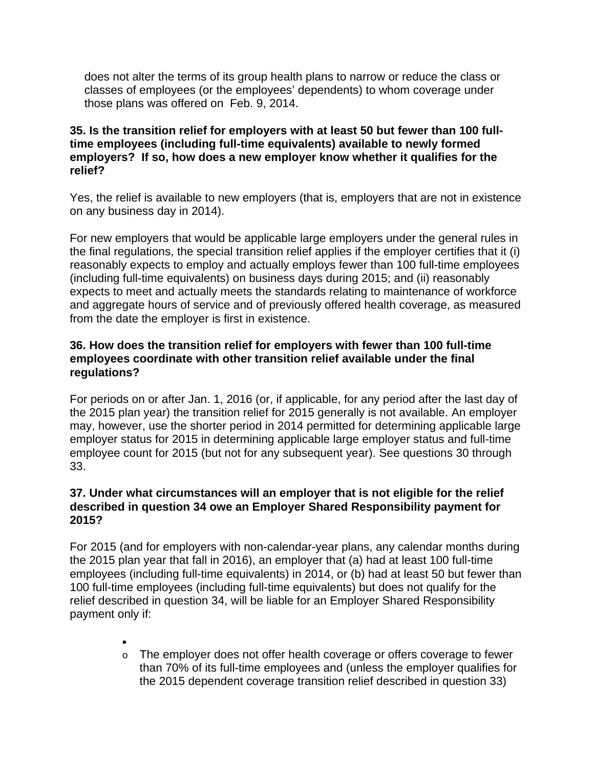does not alter the terms of its group health plans to narrow or reduce the class or classes of employees (or the employees' dependents) to whom coverage under those plans was offered on Feb. 9, 2014.

# **35. Is the transition relief for employers with at least 50 but fewer than 100 fulltime employees (including full-time equivalents) available to newly formed employers? If so, how does a new employer know whether it qualifies for the relief?**

Yes, the relief is available to new employers (that is, employers that are not in existence on any business day in 2014).

For new employers that would be applicable large employers under the general rules in the final regulations, the special transition relief applies if the employer certifies that it (i) reasonably expects to employ and actually employs fewer than 100 full-time employees (including full-time equivalents) on business days during 2015; and (ii) reasonably expects to meet and actually meets the standards relating to maintenance of workforce and aggregate hours of service and of previously offered health coverage, as measured from the date the employer is first in existence.

# **36. How does the transition relief for employers with fewer than 100 full-time employees coordinate with other transition relief available under the final regulations?**

For periods on or after Jan. 1, 2016 (or, if applicable, for any period after the last day of the 2015 plan year) the transition relief for 2015 generally is not available. An employer may, however, use the shorter period in 2014 permitted for determining applicable large employer status for 2015 in determining applicable large employer status and full-time employee count for 2015 (but not for any subsequent year). See questions 30 through 33.

# **37. Under what circumstances will an employer that is not eligible for the relief described in question 34 owe an Employer Shared Responsibility payment for 2015?**

For 2015 (and for employers with non-calendar-year plans, any calendar months during the 2015 plan year that fall in 2016), an employer that (a) had at least 100 full-time employees (including full-time equivalents) in 2014, or (b) had at least 50 but fewer than 100 full-time employees (including full-time equivalents) but does not qualify for the relief described in question 34, will be liable for an Employer Shared Responsibility payment only if:

> $\bullet$ o The employer does not offer health coverage or offers coverage to fewer than 70% of its full-time employees and (unless the employer qualifies for the 2015 dependent coverage transition relief described in question 33)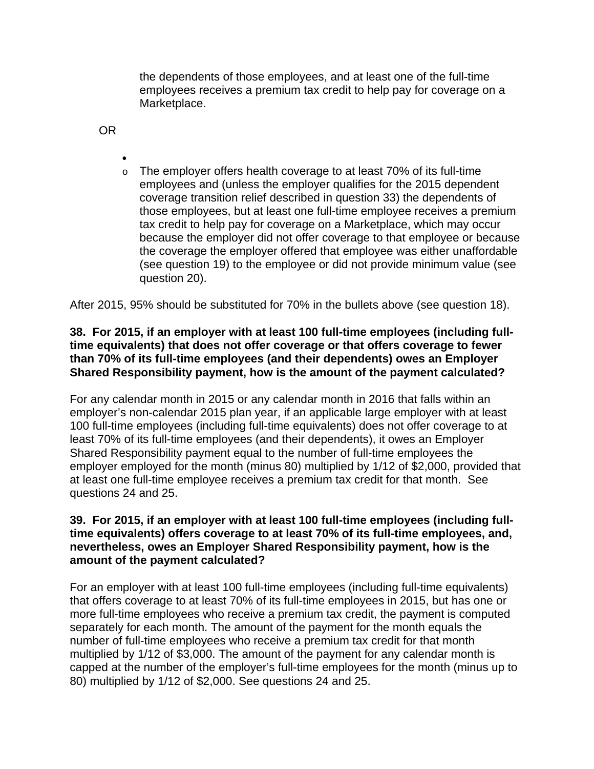the dependents of those employees, and at least one of the full-time employees receives a premium tax credit to help pay for coverage on a Marketplace.

OR

 $\bullet$ o The employer offers health coverage to at least 70% of its full-time employees and (unless the employer qualifies for the 2015 dependent coverage transition relief described in question 33) the dependents of those employees, but at least one full-time employee receives a premium tax credit to help pay for coverage on a Marketplace, which may occur because the employer did not offer coverage to that employee or because the coverage the employer offered that employee was either unaffordable (see question 19) to the employee or did not provide minimum value (see question 20).

After 2015, 95% should be substituted for 70% in the bullets above (see question 18).

### **38. For 2015, if an employer with at least 100 full-time employees (including fulltime equivalents) that does not offer coverage or that offers coverage to fewer than 70% of its full-time employees (and their dependents) owes an Employer Shared Responsibility payment, how is the amount of the payment calculated?**

For any calendar month in 2015 or any calendar month in 2016 that falls within an employer's non-calendar 2015 plan year, if an applicable large employer with at least 100 full-time employees (including full-time equivalents) does not offer coverage to at least 70% of its full-time employees (and their dependents), it owes an Employer Shared Responsibility payment equal to the number of full-time employees the employer employed for the month (minus 80) multiplied by 1/12 of \$2,000, provided that at least one full-time employee receives a premium tax credit for that month. See questions 24 and 25.

### **39. For 2015, if an employer with at least 100 full-time employees (including fulltime equivalents) offers coverage to at least 70% of its full-time employees, and, nevertheless, owes an Employer Shared Responsibility payment, how is the amount of the payment calculated?**

For an employer with at least 100 full-time employees (including full-time equivalents) that offers coverage to at least 70% of its full-time employees in 2015, but has one or more full-time employees who receive a premium tax credit, the payment is computed separately for each month. The amount of the payment for the month equals the number of full-time employees who receive a premium tax credit for that month multiplied by 1/12 of \$3,000. The amount of the payment for any calendar month is capped at the number of the employer's full-time employees for the month (minus up to 80) multiplied by 1/12 of \$2,000. See questions 24 and 25.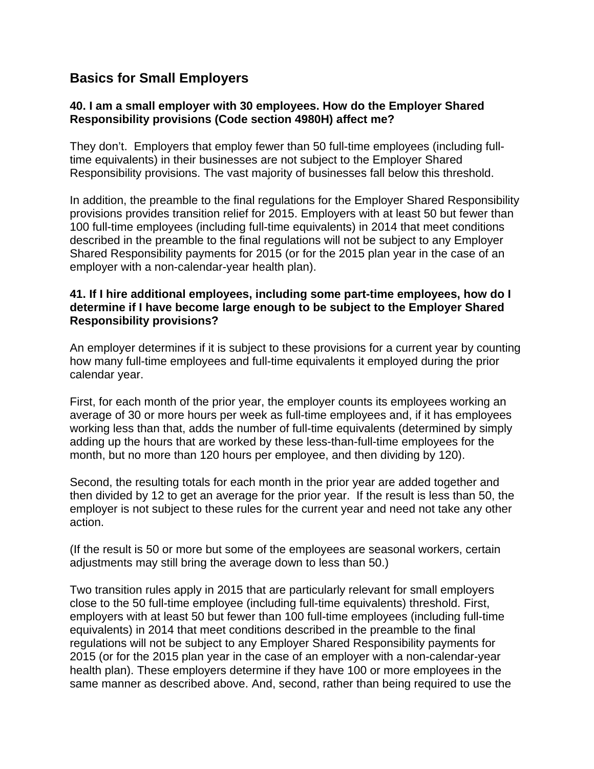# **Basics for Small Employers**

# **40. I am a small employer with 30 employees. How do the Employer Shared Responsibility provisions (Code section 4980H) affect me?**

They don't. Employers that employ fewer than 50 full-time employees (including fulltime equivalents) in their businesses are not subject to the Employer Shared Responsibility provisions. The vast majority of businesses fall below this threshold.

In addition, the preamble to the final regulations for the Employer Shared Responsibility provisions provides transition relief for 2015. Employers with at least 50 but fewer than 100 full-time employees (including full-time equivalents) in 2014 that meet conditions described in the preamble to the final regulations will not be subject to any Employer Shared Responsibility payments for 2015 (or for the 2015 plan year in the case of an employer with a non-calendar-year health plan).

### **41. If I hire additional employees, including some part-time employees, how do I determine if I have become large enough to be subject to the Employer Shared Responsibility provisions?**

An employer determines if it is subject to these provisions for a current year by counting how many full-time employees and full-time equivalents it employed during the prior calendar year.

First, for each month of the prior year, the employer counts its employees working an average of 30 or more hours per week as full-time employees and, if it has employees working less than that, adds the number of full-time equivalents (determined by simply adding up the hours that are worked by these less-than-full-time employees for the month, but no more than 120 hours per employee, and then dividing by 120).

Second, the resulting totals for each month in the prior year are added together and then divided by 12 to get an average for the prior year. If the result is less than 50, the employer is not subject to these rules for the current year and need not take any other action.

(If the result is 50 or more but some of the employees are seasonal workers, certain adjustments may still bring the average down to less than 50.)

Two transition rules apply in 2015 that are particularly relevant for small employers close to the 50 full-time employee (including full-time equivalents) threshold. First, employers with at least 50 but fewer than 100 full-time employees (including full-time equivalents) in 2014 that meet conditions described in the preamble to the final regulations will not be subject to any Employer Shared Responsibility payments for 2015 (or for the 2015 plan year in the case of an employer with a non-calendar-year health plan). These employers determine if they have 100 or more employees in the same manner as described above. And, second, rather than being required to use the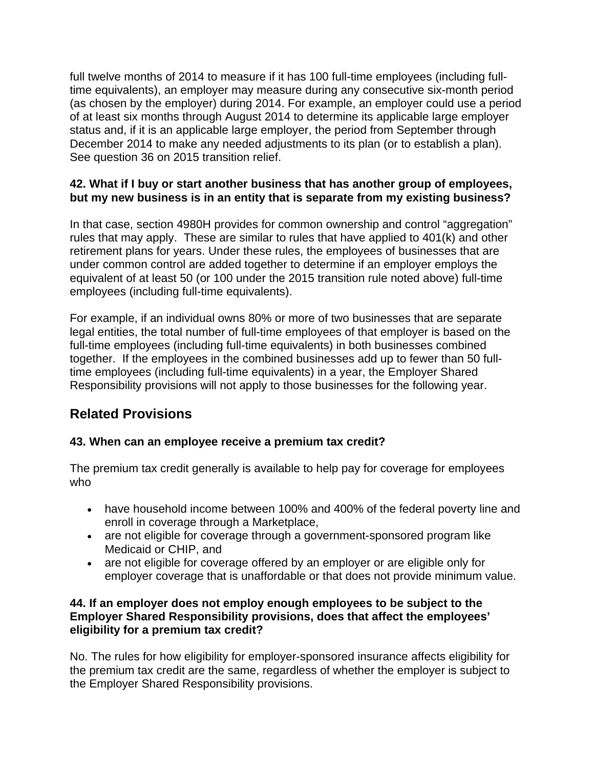full twelve months of 2014 to measure if it has 100 full-time employees (including fulltime equivalents), an employer may measure during any consecutive six-month period (as chosen by the employer) during 2014. For example, an employer could use a period of at least six months through August 2014 to determine its applicable large employer status and, if it is an applicable large employer, the period from September through December 2014 to make any needed adjustments to its plan (or to establish a plan). See question 36 on 2015 transition relief.

# **42. What if I buy or start another business that has another group of employees, but my new business is in an entity that is separate from my existing business?**

In that case, section 4980H provides for common ownership and control "aggregation" rules that may apply. These are similar to rules that have applied to 401(k) and other retirement plans for years. Under these rules, the employees of businesses that are under common control are added together to determine if an employer employs the equivalent of at least 50 (or 100 under the 2015 transition rule noted above) full-time employees (including full-time equivalents).

For example, if an individual owns 80% or more of two businesses that are separate legal entities, the total number of full-time employees of that employer is based on the full-time employees (including full-time equivalents) in both businesses combined together. If the employees in the combined businesses add up to fewer than 50 fulltime employees (including full-time equivalents) in a year, the Employer Shared Responsibility provisions will not apply to those businesses for the following year.

# **Related Provisions**

# **43. When can an employee receive a premium tax credit?**

The premium tax credit generally is available to help pay for coverage for employees who

- have household income between 100% and 400% of the federal poverty line and enroll in coverage through a Marketplace,
- are not eligible for coverage through a government-sponsored program like Medicaid or CHIP, and
- are not eligible for coverage offered by an employer or are eligible only for employer coverage that is unaffordable or that does not provide minimum value.

# **44. If an employer does not employ enough employees to be subject to the Employer Shared Responsibility provisions, does that affect the employees' eligibility for a premium tax credit?**

No. The rules for how eligibility for employer-sponsored insurance affects eligibility for the premium tax credit are the same, regardless of whether the employer is subject to the Employer Shared Responsibility provisions.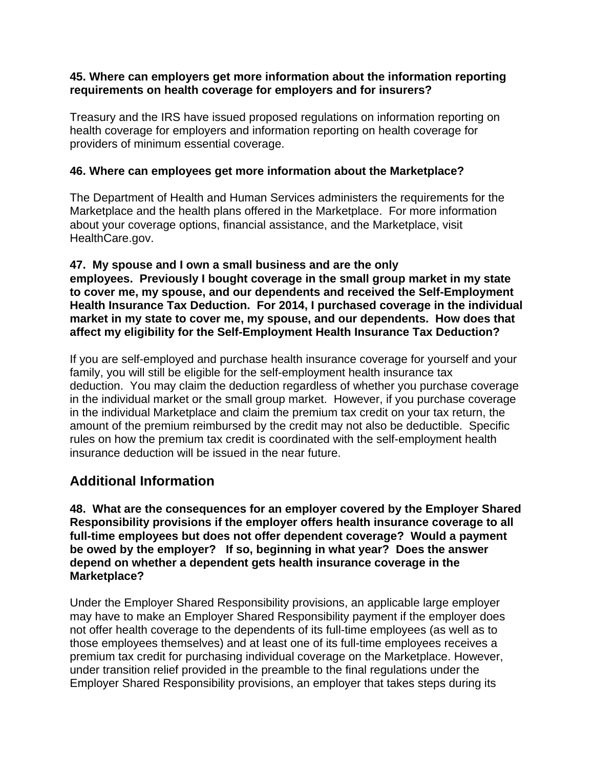#### **45. Where can employers get more information about the information reporting requirements on health coverage for employers and for insurers?**

Treasury and the IRS have issued proposed regulations on information reporting on health coverage for employers and information reporting on health coverage for providers of minimum essential coverage.

# **46. Where can employees get more information about the Marketplace?**

The Department of Health and Human Services administers the requirements for the Marketplace and the health plans offered in the Marketplace. For more information about your coverage options, financial assistance, and the Marketplace, visit HealthCare.gov.

#### **47. My spouse and I own a small business and are the only employees. Previously I bought coverage in the small group market in my state to cover me, my spouse, and our dependents and received the Self-Employment Health Insurance Tax Deduction. For 2014, I purchased coverage in the individual market in my state to cover me, my spouse, and our dependents. How does that affect my eligibility for the Self-Employment Health Insurance Tax Deduction?**

If you are self-employed and purchase health insurance coverage for yourself and your family, you will still be eligible for the self-employment health insurance tax deduction. You may claim the deduction regardless of whether you purchase coverage in the individual market or the small group market. However, if you purchase coverage in the individual Marketplace and claim the premium tax credit on your tax return, the amount of the premium reimbursed by the credit may not also be deductible. Specific rules on how the premium tax credit is coordinated with the self-employment health insurance deduction will be issued in the near future.

# **Additional Information**

**48. What are the consequences for an employer covered by the Employer Shared Responsibility provisions if the employer offers health insurance coverage to all full-time employees but does not offer dependent coverage? Would a payment be owed by the employer? If so, beginning in what year? Does the answer depend on whether a dependent gets health insurance coverage in the Marketplace?**

Under the Employer Shared Responsibility provisions, an applicable large employer may have to make an Employer Shared Responsibility payment if the employer does not offer health coverage to the dependents of its full-time employees (as well as to those employees themselves) and at least one of its full-time employees receives a premium tax credit for purchasing individual coverage on the Marketplace. However, under transition relief provided in the preamble to the final regulations under the Employer Shared Responsibility provisions, an employer that takes steps during its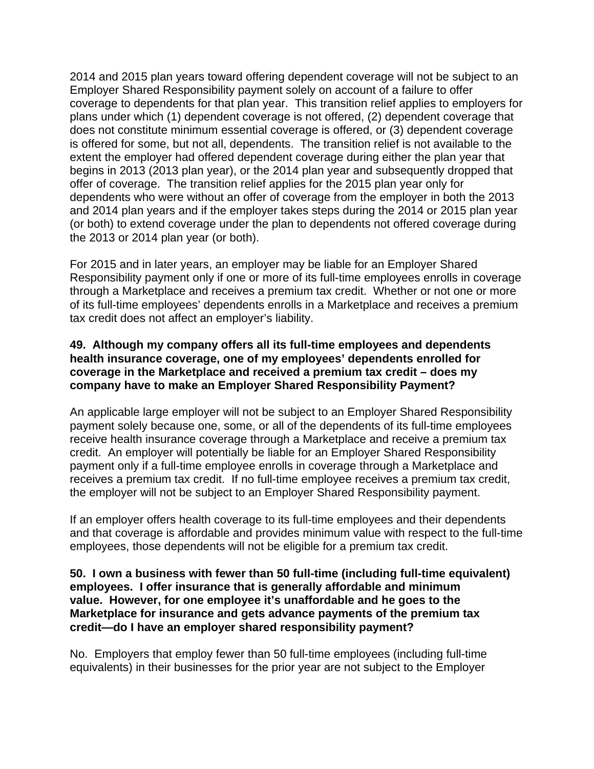2014 and 2015 plan years toward offering dependent coverage will not be subject to an Employer Shared Responsibility payment solely on account of a failure to offer coverage to dependents for that plan year. This transition relief applies to employers for plans under which (1) dependent coverage is not offered, (2) dependent coverage that does not constitute minimum essential coverage is offered, or (3) dependent coverage is offered for some, but not all, dependents. The transition relief is not available to the extent the employer had offered dependent coverage during either the plan year that begins in 2013 (2013 plan year), or the 2014 plan year and subsequently dropped that offer of coverage. The transition relief applies for the 2015 plan year only for dependents who were without an offer of coverage from the employer in both the 2013 and 2014 plan years and if the employer takes steps during the 2014 or 2015 plan year (or both) to extend coverage under the plan to dependents not offered coverage during the 2013 or 2014 plan year (or both).

For 2015 and in later years, an employer may be liable for an Employer Shared Responsibility payment only if one or more of its full-time employees enrolls in coverage through a Marketplace and receives a premium tax credit. Whether or not one or more of its full-time employees' dependents enrolls in a Marketplace and receives a premium tax credit does not affect an employer's liability.

### **49. Although my company offers all its full-time employees and dependents health insurance coverage, one of my employees' dependents enrolled for coverage in the Marketplace and received a premium tax credit – does my company have to make an Employer Shared Responsibility Payment?**

An applicable large employer will not be subject to an Employer Shared Responsibility payment solely because one, some, or all of the dependents of its full-time employees receive health insurance coverage through a Marketplace and receive a premium tax credit. An employer will potentially be liable for an Employer Shared Responsibility payment only if a full-time employee enrolls in coverage through a Marketplace and receives a premium tax credit. If no full-time employee receives a premium tax credit, the employer will not be subject to an Employer Shared Responsibility payment.

If an employer offers health coverage to its full-time employees and their dependents and that coverage is affordable and provides minimum value with respect to the full-time employees, those dependents will not be eligible for a premium tax credit.

#### **50. I own a business with fewer than 50 full-time (including full-time equivalent) employees. I offer insurance that is generally affordable and minimum value. However, for one employee it's unaffordable and he goes to the Marketplace for insurance and gets advance payments of the premium tax credit—do I have an employer shared responsibility payment?**

No. Employers that employ fewer than 50 full-time employees (including full-time equivalents) in their businesses for the prior year are not subject to the Employer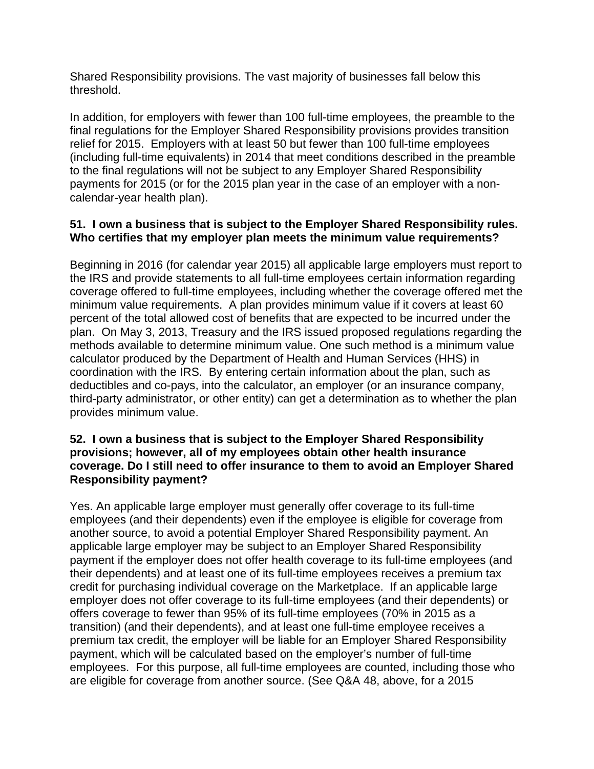Shared Responsibility provisions. The vast majority of businesses fall below this threshold.

In addition, for employers with fewer than 100 full-time employees, the preamble to the final regulations for the Employer Shared Responsibility provisions provides transition relief for 2015. Employers with at least 50 but fewer than 100 full-time employees (including full-time equivalents) in 2014 that meet conditions described in the preamble to the final regulations will not be subject to any Employer Shared Responsibility payments for 2015 (or for the 2015 plan year in the case of an employer with a noncalendar-year health plan).

# **51. I own a business that is subject to the Employer Shared Responsibility rules. Who certifies that my employer plan meets the minimum value requirements?**

Beginning in 2016 (for calendar year 2015) all applicable large employers must report to the IRS and provide statements to all full-time employees certain information regarding coverage offered to full-time employees, including whether the coverage offered met the minimum value requirements. A plan provides minimum value if it covers at least 60 percent of the total allowed cost of benefits that are expected to be incurred under the plan. On May 3, 2013, Treasury and the IRS issued proposed regulations regarding the methods available to determine minimum value. One such method is a minimum value calculator produced by the Department of Health and Human Services (HHS) in coordination with the IRS. By entering certain information about the plan, such as deductibles and co-pays, into the calculator, an employer (or an insurance company, third-party administrator, or other entity) can get a determination as to whether the plan provides minimum value.

### **52. I own a business that is subject to the Employer Shared Responsibility provisions; however, all of my employees obtain other health insurance coverage. Do I still need to offer insurance to them to avoid an Employer Shared Responsibility payment?**

Yes. An applicable large employer must generally offer coverage to its full-time employees (and their dependents) even if the employee is eligible for coverage from another source, to avoid a potential Employer Shared Responsibility payment. An applicable large employer may be subject to an Employer Shared Responsibility payment if the employer does not offer health coverage to its full-time employees (and their dependents) and at least one of its full-time employees receives a premium tax credit for purchasing individual coverage on the Marketplace. If an applicable large employer does not offer coverage to its full-time employees (and their dependents) or offers coverage to fewer than 95% of its full-time employees (70% in 2015 as a transition) (and their dependents), and at least one full-time employee receives a premium tax credit, the employer will be liable for an Employer Shared Responsibility payment, which will be calculated based on the employer's number of full-time employees. For this purpose, all full-time employees are counted, including those who are eligible for coverage from another source. (See Q&A 48, above, for a 2015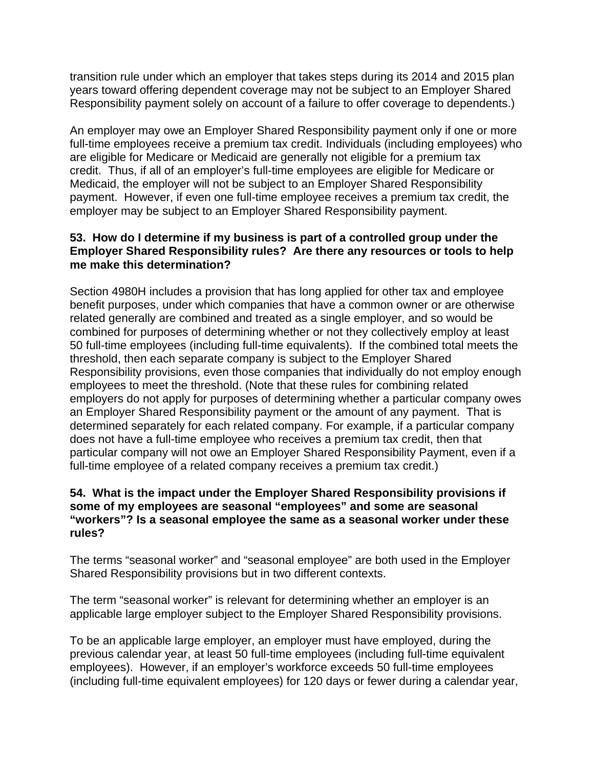transition rule under which an employer that takes steps during its 2014 and 2015 plan years toward offering dependent coverage may not be subject to an Employer Shared Responsibility payment solely on account of a failure to offer coverage to dependents.)

An employer may owe an Employer Shared Responsibility payment only if one or more full-time employees receive a premium tax credit. Individuals (including employees) who are eligible for Medicare or Medicaid are generally not eligible for a premium tax credit. Thus, if all of an employer's full-time employees are eligible for Medicare or Medicaid, the employer will not be subject to an Employer Shared Responsibility payment. However, if even one full-time employee receives a premium tax credit, the employer may be subject to an Employer Shared Responsibility payment.

# **53. How do I determine if my business is part of a controlled group under the Employer Shared Responsibility rules? Are there any resources or tools to help me make this determination?**

Section 4980H includes a provision that has long applied for other tax and employee benefit purposes, under which companies that have a common owner or are otherwise related generally are combined and treated as a single employer, and so would be combined for purposes of determining whether or not they collectively employ at least 50 full-time employees (including full-time equivalents). If the combined total meets the threshold, then each separate company is subject to the Employer Shared Responsibility provisions, even those companies that individually do not employ enough employees to meet the threshold. (Note that these rules for combining related employers do not apply for purposes of determining whether a particular company owes an Employer Shared Responsibility payment or the amount of any payment. That is determined separately for each related company. For example, if a particular company does not have a full-time employee who receives a premium tax credit, then that particular company will not owe an Employer Shared Responsibility Payment, even if a full-time employee of a related company receives a premium tax credit.)

# **54. What is the impact under the Employer Shared Responsibility provisions if some of my employees are seasonal "employees" and some are seasonal "workers"? Is a seasonal employee the same as a seasonal worker under these rules?**

The terms "seasonal worker" and "seasonal employee" are both used in the Employer Shared Responsibility provisions but in two different contexts.

The term "seasonal worker" is relevant for determining whether an employer is an applicable large employer subject to the Employer Shared Responsibility provisions.

To be an applicable large employer, an employer must have employed, during the previous calendar year, at least 50 full-time employees (including full-time equivalent employees). However, if an employer's workforce exceeds 50 full-time employees (including full-time equivalent employees) for 120 days or fewer during a calendar year,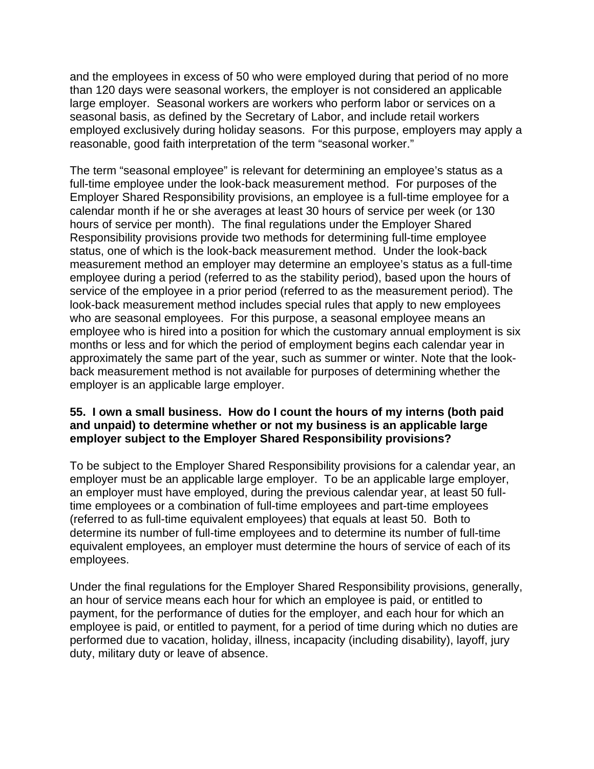and the employees in excess of 50 who were employed during that period of no more than 120 days were seasonal workers, the employer is not considered an applicable large employer. Seasonal workers are workers who perform labor or services on a seasonal basis, as defined by the Secretary of Labor, and include retail workers employed exclusively during holiday seasons. For this purpose, employers may apply a reasonable, good faith interpretation of the term "seasonal worker."

The term "seasonal employee" is relevant for determining an employee's status as a full-time employee under the look-back measurement method. For purposes of the Employer Shared Responsibility provisions, an employee is a full-time employee for a calendar month if he or she averages at least 30 hours of service per week (or 130 hours of service per month). The final regulations under the Employer Shared Responsibility provisions provide two methods for determining full-time employee status, one of which is the look-back measurement method. Under the look-back measurement method an employer may determine an employee's status as a full-time employee during a period (referred to as the stability period), based upon the hours of service of the employee in a prior period (referred to as the measurement period). The look-back measurement method includes special rules that apply to new employees who are seasonal employees. For this purpose, a seasonal employee means an employee who is hired into a position for which the customary annual employment is six months or less and for which the period of employment begins each calendar year in approximately the same part of the year, such as summer or winter. Note that the lookback measurement method is not available for purposes of determining whether the employer is an applicable large employer.

### **55. I own a small business. How do I count the hours of my interns (both paid and unpaid) to determine whether or not my business is an applicable large employer subject to the Employer Shared Responsibility provisions?**

To be subject to the Employer Shared Responsibility provisions for a calendar year, an employer must be an applicable large employer. To be an applicable large employer, an employer must have employed, during the previous calendar year, at least 50 fulltime employees or a combination of full-time employees and part-time employees (referred to as full-time equivalent employees) that equals at least 50. Both to determine its number of full-time employees and to determine its number of full-time equivalent employees, an employer must determine the hours of service of each of its employees.

Under the final regulations for the Employer Shared Responsibility provisions, generally, an hour of service means each hour for which an employee is paid, or entitled to payment, for the performance of duties for the employer, and each hour for which an employee is paid, or entitled to payment, for a period of time during which no duties are performed due to vacation, holiday, illness, incapacity (including disability), layoff, jury duty, military duty or leave of absence.